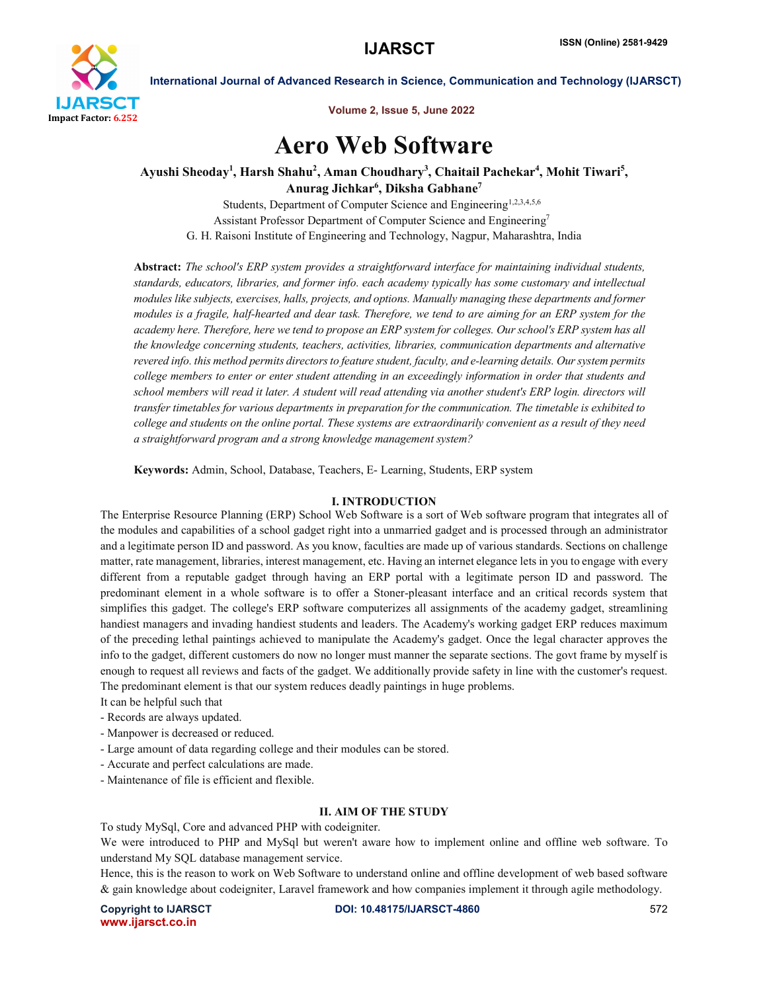

Volume 2, Issue 5, June 2022

# Aero Web Software

Ayushi Sheoday<sup>1</sup>, Harsh Shahu<sup>2</sup>, Aman Choudhary<sup>3</sup>, Chaitail Pachekar<sup>4</sup>, Mohit Tiwari<sup>5</sup>, Anurag Jichkar $\rm^6$ , Diksha Gabhane $\rm^7$ 

Students, Department of Computer Science and Engineering<sup>1,2,3,4,5,6</sup> Assistant Professor Department of Computer Science and Engineering7 G. H. Raisoni Institute of Engineering and Technology, Nagpur, Maharashtra, India

Abstract: *The school's ERP system provides a straightforward interface for maintaining individual students, standards, educators, libraries, and former info. each academy typically has some customary and intellectual modules like subjects, exercises, halls, projects, and options. Manually managing these departments and former modules is a fragile, half-hearted and dear task. Therefore, we tend to are aiming for an ERP system for the academy here. Therefore, here we tend to propose an ERP system for colleges. Our school's ERP system has all the knowledge concerning students, teachers, activities, libraries, communication departments and alternative revered info. this method permits directors to feature student, faculty, and e-learning details. Our system permits college members to enter or enter student attending in an exceedingly information in order that students and school members will read it later. A student will read attending via another student's ERP login. directors will transfer timetables for various departments in preparation for the communication. The timetable is exhibited to college and students on the online portal. These systems are extraordinarily convenient as a result of they need a straightforward program and a strong knowledge management system?*

Keywords: Admin, School, Database, Teachers, E- Learning, Students, ERP system

# I. INTRODUCTION

The Enterprise Resource Planning (ERP) School Web Software is a sort of Web software program that integrates all of the modules and capabilities of a school gadget right into a unmarried gadget and is processed through an administrator and a legitimate person ID and password. As you know, faculties are made up of various standards. Sections on challenge matter, rate management, libraries, interest management, etc. Having an internet elegance lets in you to engage with every different from a reputable gadget through having an ERP portal with a legitimate person ID and password. The predominant element in a whole software is to offer a Stoner-pleasant interface and an critical records system that simplifies this gadget. The college's ERP software computerizes all assignments of the academy gadget, streamlining handiest managers and invading handiest students and leaders. The Academy's working gadget ERP reduces maximum of the preceding lethal paintings achieved to manipulate the Academy's gadget. Once the legal character approves the info to the gadget, different customers do now no longer must manner the separate sections. The govt frame by myself is enough to request all reviews and facts of the gadget. We additionally provide safety in line with the customer's request. The predominant element is that our system reduces deadly paintings in huge problems.

- It can be helpful such that
- Records are always updated.
- Manpower is decreased or reduced.
- Large amount of data regarding college and their modules can be stored.
- Accurate and perfect calculations are made.
- Maintenance of file is efficient and flexible.

## II. AIM OF THE STUDY

To study MySql, Core and advanced PHP with codeigniter.

We were introduced to PHP and MySql but weren't aware how to implement online and offline web software. To understand My SQL database management service.

Hence, this is the reason to work on Web Software to understand online and offline development of web based software & gain knowledge about codeigniter, Laravel framework and how companies implement it through agile methodology.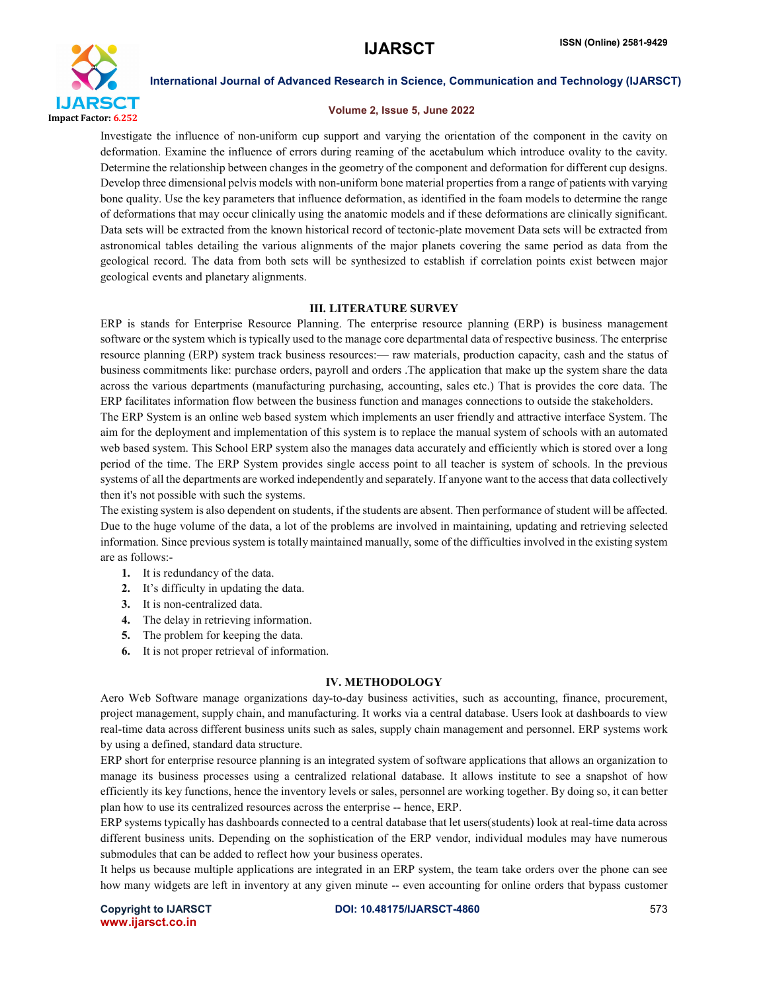

### Volume 2, Issue 5, June 2022

Investigate the influence of non-uniform cup support and varying the orientation of the component in the cavity on deformation. Examine the influence of errors during reaming of the acetabulum which introduce ovality to the cavity. Determine the relationship between changes in the geometry of the component and deformation for different cup designs. Develop three dimensional pelvis models with non-uniform bone material properties from a range of patients with varying bone quality. Use the key parameters that influence deformation, as identified in the foam models to determine the range of deformations that may occur clinically using the anatomic models and if these deformations are clinically significant. Data sets will be extracted from the known historical record of tectonic-plate movement Data sets will be extracted from astronomical tables detailing the various alignments of the major planets covering the same period as data from the geological record. The data from both sets will be synthesized to establish if correlation points exist between major geological events and planetary alignments.

## III. LITERATURE SURVEY

ERP is stands for Enterprise Resource Planning. The enterprise resource planning (ERP) is business management software or the system which is typically used to the manage core departmental data of respective business. The enterprise resource planning (ERP) system track business resources:— raw materials, production capacity, cash and the status of business commitments like: purchase orders, payroll and orders .The application that make up the system share the data across the various departments (manufacturing purchasing, accounting, sales etc.) That is provides the core data. The ERP facilitates information flow between the business function and manages connections to outside the stakeholders.

The ERP System is an online web based system which implements an user friendly and attractive interface System. The aim for the deployment and implementation of this system is to replace the manual system of schools with an automated web based system. This School ERP system also the manages data accurately and efficiently which is stored over a long period of the time. The ERP System provides single access point to all teacher is system of schools. In the previous systems of all the departments are worked independently and separately. If anyone want to the access that data collectively then it's not possible with such the systems.

The existing system is also dependent on students, if the students are absent. Then performance of student will be affected. Due to the huge volume of the data, a lot of the problems are involved in maintaining, updating and retrieving selected information. Since previous system is totally maintained manually, some of the difficulties involved in the existing system are as follows:-

- 1. It is redundancy of the data.
- 2. It's difficulty in updating the data.
- 3. It is non-centralized data.
- 4. The delay in retrieving information.
- 5. The problem for keeping the data.
- 6. It is not proper retrieval of information.

## IV. METHODOLOGY

Aero Web Software manage organizations day-to-day business activities, such as accounting, finance, procurement, project management, supply chain, and manufacturing. It works via a central database. Users look at dashboards to view real-time data across different business units such as sales, supply chain management and personnel. ERP systems work by using a defined, standard data structure.

ERP short for enterprise resource planning is an integrated system of software applications that allows an organization to manage its business processes using a centralized relational database. It allows institute to see a snapshot of how efficiently its key functions, hence the inventory levels or sales, personnel are working together. By doing so, it can better plan how to use its centralized resources across the enterprise -- hence, ERP.

ERP systems typically has dashboards connected to a central database that let users(students) look at real-time data across different business units. Depending on the sophistication of the ERP vendor, individual modules may have numerous submodules that can be added to reflect how your business operates.

It helps us because multiple applications are integrated in an ERP system, the team take orders over the phone can see how many widgets are left in inventory at any given minute -- even accounting for online orders that bypass customer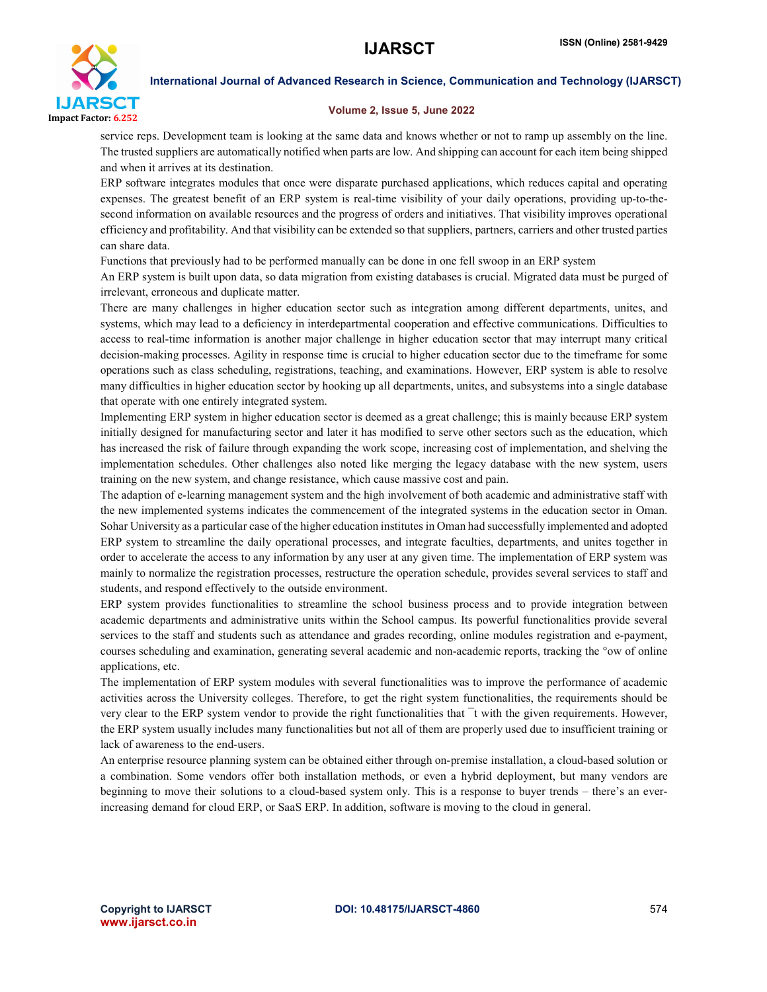

#### Volume 2, Issue 5, June 2022

service reps. Development team is looking at the same data and knows whether or not to ramp up assembly on the line. The trusted suppliers are automatically notified when parts are low. And shipping can account for each item being shipped and when it arrives at its destination.

ERP software integrates modules that once were disparate purchased applications, which reduces capital and operating expenses. The greatest benefit of an ERP system is real-time visibility of your daily operations, providing up-to-thesecond information on available resources and the progress of orders and initiatives. That visibility improves operational efficiency and profitability. And that visibility can be extended so that suppliers, partners, carriers and other trusted parties can share data.

Functions that previously had to be performed manually can be done in one fell swoop in an ERP system

An ERP system is built upon data, so data migration from existing databases is crucial. Migrated data must be purged of irrelevant, erroneous and duplicate matter.

There are many challenges in higher education sector such as integration among different departments, unites, and systems, which may lead to a deficiency in interdepartmental cooperation and effective communications. Difficulties to access to real-time information is another major challenge in higher education sector that may interrupt many critical decision-making processes. Agility in response time is crucial to higher education sector due to the timeframe for some operations such as class scheduling, registrations, teaching, and examinations. However, ERP system is able to resolve many difficulties in higher education sector by hooking up all departments, unites, and subsystems into a single database that operate with one entirely integrated system.

Implementing ERP system in higher education sector is deemed as a great challenge; this is mainly because ERP system initially designed for manufacturing sector and later it has modified to serve other sectors such as the education, which has increased the risk of failure through expanding the work scope, increasing cost of implementation, and shelving the implementation schedules. Other challenges also noted like merging the legacy database with the new system, users training on the new system, and change resistance, which cause massive cost and pain.

The adaption of e-learning management system and the high involvement of both academic and administrative staff with the new implemented systems indicates the commencement of the integrated systems in the education sector in Oman. Sohar University as a particular case of the higher education institutes in Oman had successfully implemented and adopted ERP system to streamline the daily operational processes, and integrate faculties, departments, and unites together in order to accelerate the access to any information by any user at any given time. The implementation of ERP system was mainly to normalize the registration processes, restructure the operation schedule, provides several services to staff and students, and respond effectively to the outside environment.

ERP system provides functionalities to streamline the school business process and to provide integration between academic departments and administrative units within the School campus. Its powerful functionalities provide several services to the staff and students such as attendance and grades recording, online modules registration and e-payment, courses scheduling and examination, generating several academic and non-academic reports, tracking the °ow of online applications, etc.

The implementation of ERP system modules with several functionalities was to improve the performance of academic activities across the University colleges. Therefore, to get the right system functionalities, the requirements should be very clear to the ERP system vendor to provide the right functionalities that  $\bar{t}$  with the given requirements. However, the ERP system usually includes many functionalities but not all of them are properly used due to insufficient training or lack of awareness to the end-users.

An enterprise resource planning system can be obtained either through on-premise installation, a cloud-based solution or a combination. Some vendors offer both installation methods, or even a hybrid deployment, but many vendors are beginning to move their solutions to a cloud-based system only. This is a response to buyer trends – there's an everincreasing demand for cloud ERP, or SaaS ERP. In addition, software is moving to the cloud in general.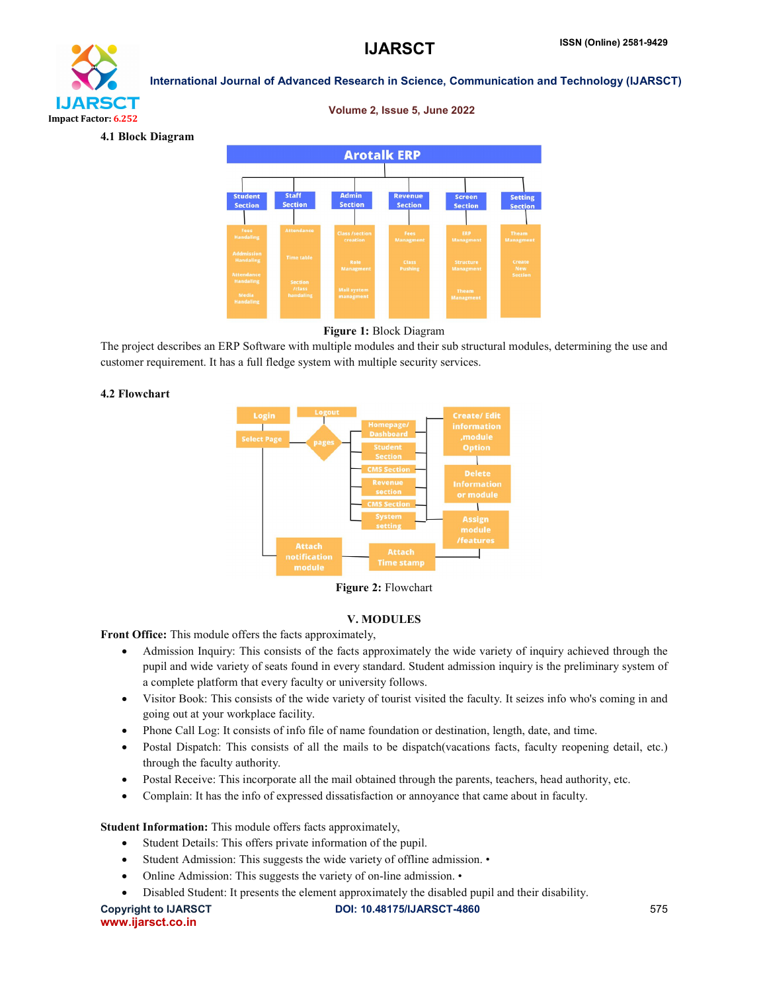

### Volume 2, Issue 5, June 2022

International Journal of Advanced Research in Science, Communication and Technology (IJARSCT)

4.1 Block Diagram



## Figure 1: Block Diagram

The project describes an ERP Software with multiple modules and their sub structural modules, determining the use and customer requirement. It has a full fledge system with multiple security services.

# 4.2 Flowchart





# V. MODULES

Front Office: This module offers the facts approximately,

- Admission Inquiry: This consists of the facts approximately the wide variety of inquiry achieved through the pupil and wide variety of seats found in every standard. Student admission inquiry is the preliminary system of a complete platform that every faculty or university follows.
- Visitor Book: This consists of the wide variety of tourist visited the faculty. It seizes info who's coming in and going out at your workplace facility.
- Phone Call Log: It consists of info file of name foundation or destination, length, date, and time.
- Postal Dispatch: This consists of all the mails to be dispatch(vacations facts, faculty reopening detail, etc.) through the faculty authority.
- Postal Receive: This incorporate all the mail obtained through the parents, teachers, head authority, etc.
- Complain: It has the info of expressed dissatisfaction or annoyance that came about in faculty.

Student Information: This module offers facts approximately,

- Student Details: This offers private information of the pupil.
- Student Admission: This suggests the wide variety of offline admission. •
- Online Admission: This suggests the variety of on-line admission. •
- Disabled Student: It presents the element approximately the disabled pupil and their disability.

www.ijarsct.co.in

Copyright to IJARSCT DOI: 10.48175/IJARSCT-4860 575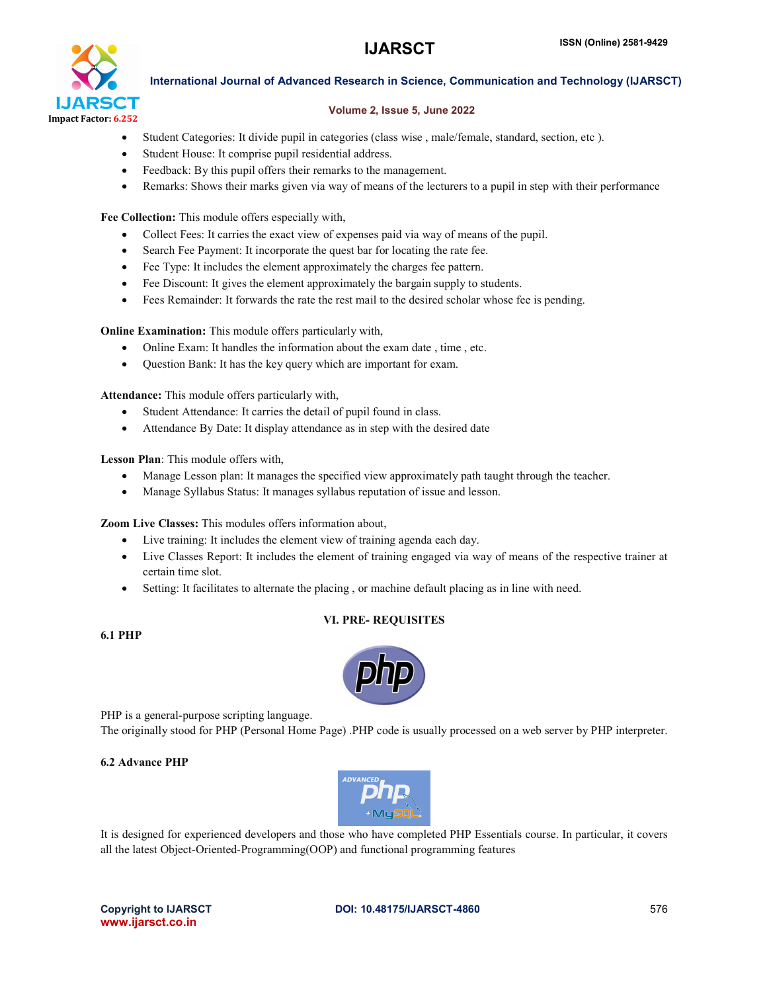

# Volume 2, Issue 5, June 2022

- Student Categories: It divide pupil in categories (class wise , male/female, standard, section, etc ).
- Student House: It comprise pupil residential address.
- Feedback: By this pupil offers their remarks to the management.
- Remarks: Shows their marks given via way of means of the lecturers to a pupil in step with their performance

Fee Collection: This module offers especially with,

- Collect Fees: It carries the exact view of expenses paid via way of means of the pupil.
- Search Fee Payment: It incorporate the quest bar for locating the rate fee.
- Fee Type: It includes the element approximately the charges fee pattern.
- Fee Discount: It gives the element approximately the bargain supply to students.
- Fees Remainder: It forwards the rate the rest mail to the desired scholar whose fee is pending.

Online Examination: This module offers particularly with,

- Online Exam: It handles the information about the exam date, time, etc.
- Question Bank: It has the key query which are important for exam.

Attendance: This module offers particularly with,

- Student Attendance: It carries the detail of pupil found in class.
- Attendance By Date: It display attendance as in step with the desired date

Lesson Plan: This module offers with,

- Manage Lesson plan: It manages the specified view approximately path taught through the teacher.
- Manage Syllabus Status: It manages syllabus reputation of issue and lesson.

Zoom Live Classes: This modules offers information about,

- Live training: It includes the element view of training agenda each day.
- Live Classes Report: It includes the element of training engaged via way of means of the respective trainer at certain time slot.
- Setting: It facilitates to alternate the placing , or machine default placing as in line with need.

# VI. PRE- REQUISITES

# 6.1 PHP



PHP is a general-purpose scripting language.

The originally stood for PHP (Personal Home Page) .PHP code is usually processed on a web server by PHP interpreter.

# 6.2 Advance PHP



It is designed for experienced developers and those who have completed PHP Essentials course. In particular, it covers all the latest Object-Oriented-Programming(OOP) and functional programming features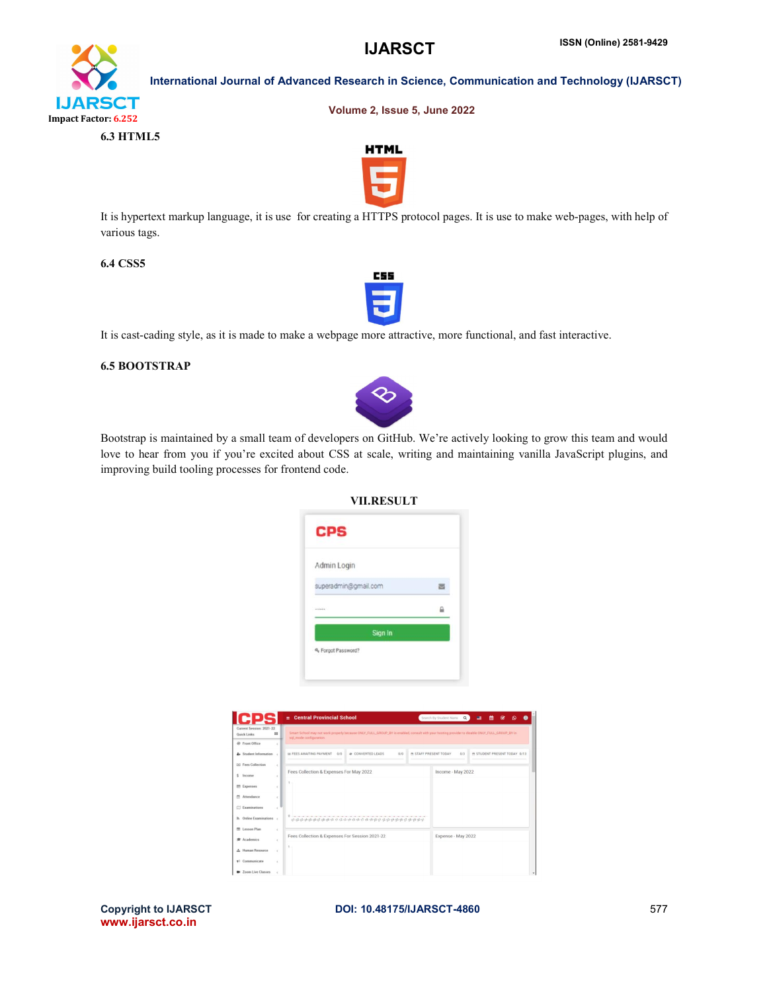

## Volume 2, Issue 5, June 2022





It is hypertext markup language, it is use for creating a HTTPS protocol pages. It is use to make web-pages, with help of various tags.

#### 6.4 CSS5



It is cast-cading style, as it is made to make a webpage more attractive, more functional, and fast interactive.

# 6.5 BOOTSTRAP



Bootstrap is maintained by a small team of developers on GitHub. We're actively looking to grow this team and would love to hear from you if you're excited about CSS at scale, writing and maintaining vanilla JavaScript plugins, and improving build tooling processes for frontend code.

| <b>CPS</b>           |   |
|----------------------|---|
| Admin Login          |   |
| superadmin@gmail.com | ≂ |
| *****                |   |
| Sign In              |   |

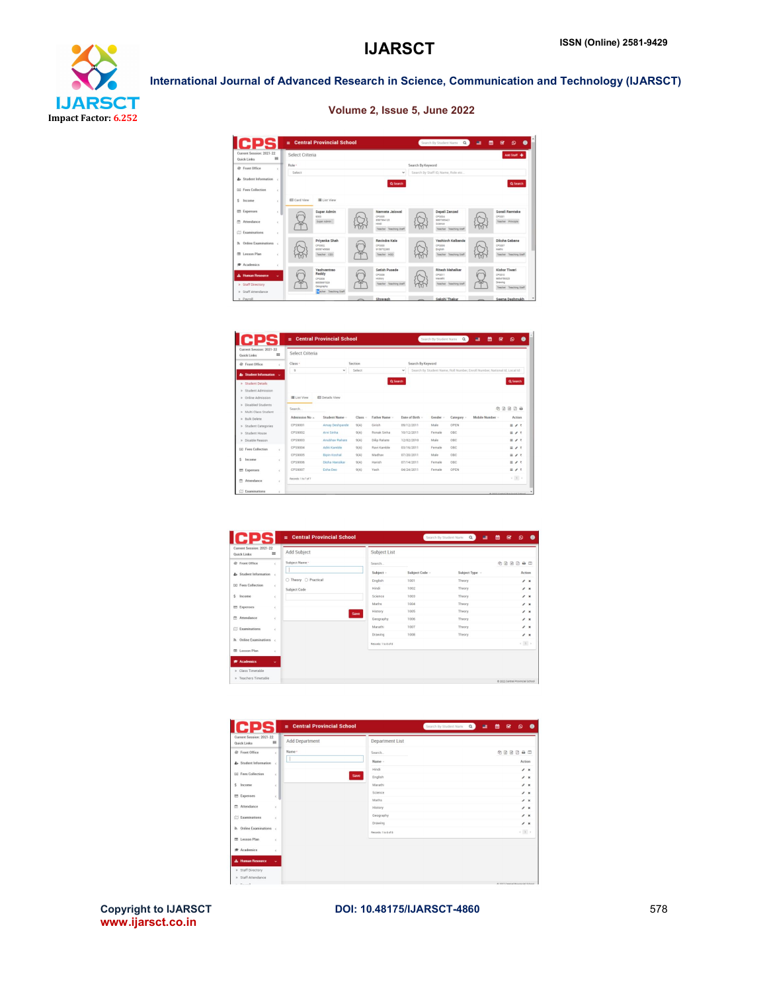

# Volume 2, Issue 5, June 2022



| Quick Links                                                    | Current Session: 2021-22<br>田 | Select Criteria      |                        |                           |               |                 |                   |            |                                                                           |                                      |  |
|----------------------------------------------------------------|-------------------------------|----------------------|------------------------|---------------------------|---------------|-----------------|-------------------|------------|---------------------------------------------------------------------------|--------------------------------------|--|
| @ Front Office                                                 |                               | Class -              |                        | Section                   |               |                 | Search By Keyword |            |                                                                           |                                      |  |
| <b>A</b> Student Information v                                 |                               | $\mathbf{Q}$         | $\omega$               | Select                    |               | $\checkmark$    |                   |            | Search By Student Name, Roll Number, Enroll Number, National Id. Local Id |                                      |  |
| > Student Details<br>» Student Admission<br>> Online Admission |                               | <b>III</b> List View | <b>ED Details View</b> |                           | Q Search      |                 |                   |            |                                                                           | Q Search                             |  |
| > Disabled Students<br>> Multi Class Student                   |                               | Search               |                        |                           |               |                 |                   |            | Ø1                                                                        | 团团分<br>R.                            |  |
| > Rulk Delete                                                  |                               | Admission No. 4      | Student Name -         | $Class -$                 | Father Name - | Date of Birth - | Gender -          | Category - | Mobile Number -                                                           | Action                               |  |
| » Student Categories                                           |                               | CPS9001              | Amay Deshpande         | $\mathcal{G}(\mathbb{A})$ | Girish        | 09/12/2011      | Male              | OPEN       |                                                                           | $\equiv$ $\neq$ 3                    |  |
| » Student House                                                |                               | CP59002              | Arvi Sinha             | $\mathcal{G}(A)$          | Ronak Sinha   | 10/12/2011      | Female            | onc        |                                                                           | $\equiv$ $\neq$ 5                    |  |
| » Disable Reason                                               |                               | CPS9003              | Anubhay Rahate         | 9(A)                      | Dilip Rahate  | 12/02/2010      | Male              | ORC        |                                                                           | $\equiv$ $\rightarrow$ $\rightarrow$ |  |
| <b>(ii) Fees Collection</b>                                    | $\epsilon$                    | CPS9004              | Aditi Kamble           | $Q(\Lambda)$              | Rayi Kamble   | 03/16/2011      | Female            | OBC        |                                                                           | $=$ $\lambda$ ?                      |  |
|                                                                |                               | CP59005              | <b>Bipin Koshal</b>    | 9(A)                      | Madhay        | 07/20/2011      | Male.             | OBC        |                                                                           | $\equiv$ $\neq$ $\equiv$             |  |
| š.                                                             | $\epsilon$                    | CPS9006              | Disha Hansikar         | 9(A)                      | Harish        | 07/14/2011      | Female            | OBC        |                                                                           | $\mathbb{R}$ $\mathbb{R}$            |  |
| Income                                                         |                               |                      |                        |                           |               |                 | Female            | OPEN       |                                                                           | $\equiv$ $\rightarrow$ 3             |  |
| E Expenses                                                     | $\epsilon$                    | CPS9007              | Esha Deo               | 9(A)                      | Yash          | 04/24/2011      |                   |            |                                                                           |                                      |  |

| Current Session: 2021-22<br>Ħ<br>Quick Links                | Add Subject          | Subject List        |                |                |             |  |
|-------------------------------------------------------------|----------------------|---------------------|----------------|----------------|-------------|--|
| @ Front Office<br>$\lambda$                                 | Subject Name -       | Search              |                |                | 400000      |  |
| & Student Information<br>(ii) Fees Collection<br>$\epsilon$ |                      | Subject -           | Subject Code - | Subject Type - | Action      |  |
|                                                             | ○ Theory ○ Practical | English             | 1001           | Theory         | $\lambda$ x |  |
|                                                             | Subject Code         | Hindi               | 1002           | Theory         | $\lambda$ x |  |
| \$ Income<br>×                                              |                      | Science             | 1003           | Theory         | $\prime x$  |  |
| E Expenses<br>$\epsilon$                                    |                      | Maths               | 1004           | Theory         | $\lambda$ x |  |
|                                                             |                      | History<br>Save     | 1005           | Theory         | $\lambda$ x |  |
| <b>Ch</b> Attendance<br>$\epsilon$                          |                      | Geography           | 1006           | Theory         | $\prime x$  |  |
| <b>CO</b> Examinations<br>$\epsilon$                        |                      | Marathi             | 1007           | Theory         | $\prime x$  |  |
|                                                             |                      | Drawing             | 1008           | Theory         | $\prime x$  |  |
| 50 Online Examinations c                                    |                      | Records 1 to 8 of 8 |                |                | (1)         |  |
| <b>ED</b> Lesson Plan<br>$\epsilon$                         |                      |                     |                |                |             |  |
| <b>章 Academics</b><br>÷.                                    |                      |                     |                |                |             |  |
| » Class Timetable                                           |                      |                     |                |                |             |  |